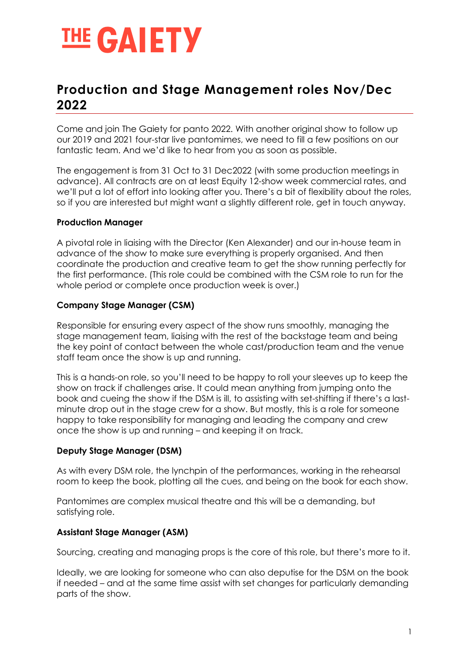

# Production and Stage Management roles Nov/Dec 2022

Come and join The Gaiety for panto 2022. With another original show to follow up our 2019 and 2021 four-star live pantomimes, we need to fill a few positions on our fantastic team. And we'd like to hear from you as soon as possible.

The engagement is from 31 Oct to 31 Dec2022 (with some production meetings in advance). All contracts are on at least Equity 12-show week commercial rates, and we'll put a lot of effort into looking after you. There's a bit of flexibility about the roles, so if you are interested but might want a slightly different role, get in touch anyway.

## Production Manager

A pivotal role in liaising with the Director (Ken Alexander) and our in-house team in advance of the show to make sure everything is properly organised. And then coordinate the production and creative team to get the show running perfectly for the first performance. (This role could be combined with the CSM role to run for the whole period or complete once production week is over.)

## Company Stage Manager (CSM)

Responsible for ensuring every aspect of the show runs smoothly, managing the stage management team, liaising with the rest of the backstage team and being the key point of contact between the whole cast/production team and the venue staff team once the show is up and running.

This is a hands-on role, so you'll need to be happy to roll your sleeves up to keep the show on track if challenges arise. It could mean anything from jumping onto the book and cueing the show if the DSM is ill, to assisting with set-shifting if there's a lastminute drop out in the stage crew for a show. But mostly, this is a role for someone happy to take responsibility for managing and leading the company and crew once the show is up and running – and keeping it on track.

#### Deputy Stage Manager (DSM)

As with every DSM role, the lynchpin of the performances, working in the rehearsal room to keep the book, plotting all the cues, and being on the book for each show.

Pantomimes are complex musical theatre and this will be a demanding, but satisfying role.

# Assistant Stage Manager (ASM)

Sourcing, creating and managing props is the core of this role, but there's more to it.

Ideally, we are looking for someone who can also deputise for the DSM on the book if needed – and at the same time assist with set changes for particularly demanding parts of the show.